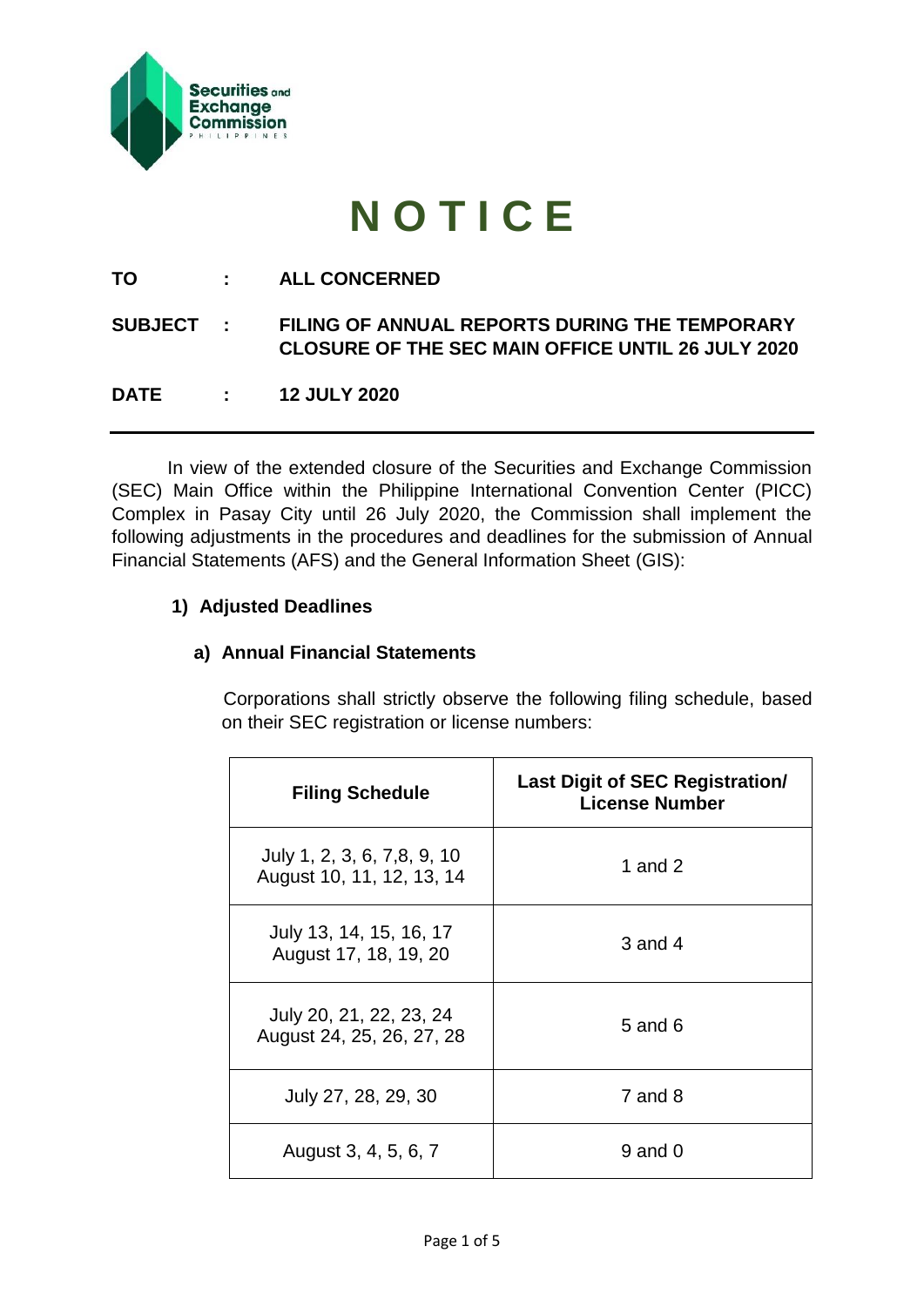

# **N O T I C E**

**TO : ALL CONCERNED**

# **SUBJECT : FILING OF ANNUAL REPORTS DURING THE TEMPORARY CLOSURE OF THE SEC MAIN OFFICE UNTIL 26 JULY 2020**

**DATE : 12 JULY 2020**

In view of the extended closure of the Securities and Exchange Commission (SEC) Main Office within the Philippine International Convention Center (PICC) Complex in Pasay City until 26 July 2020, the Commission shall implement the following adjustments in the procedures and deadlines for the submission of Annual Financial Statements (AFS) and the General Information Sheet (GIS):

# **1) Adjusted Deadlines**

# **a) Annual Financial Statements**

Corporations shall strictly observe the following filing schedule, based on their SEC registration or license numbers:

| <b>Filing Schedule</b>                                   | <b>Last Digit of SEC Registration/</b><br><b>License Number</b> |
|----------------------------------------------------------|-----------------------------------------------------------------|
| July 1, 2, 3, 6, 7,8, 9, 10<br>August 10, 11, 12, 13, 14 | 1 and $2$                                                       |
| July 13, 14, 15, 16, 17<br>August 17, 18, 19, 20         | $3$ and $4$                                                     |
| July 20, 21, 22, 23, 24<br>August 24, 25, 26, 27, 28     | 5 and 6                                                         |
| July 27, 28, 29, 30                                      | $7$ and $8$                                                     |
| August 3, 4, 5, 6, 7                                     | $9$ and $0$                                                     |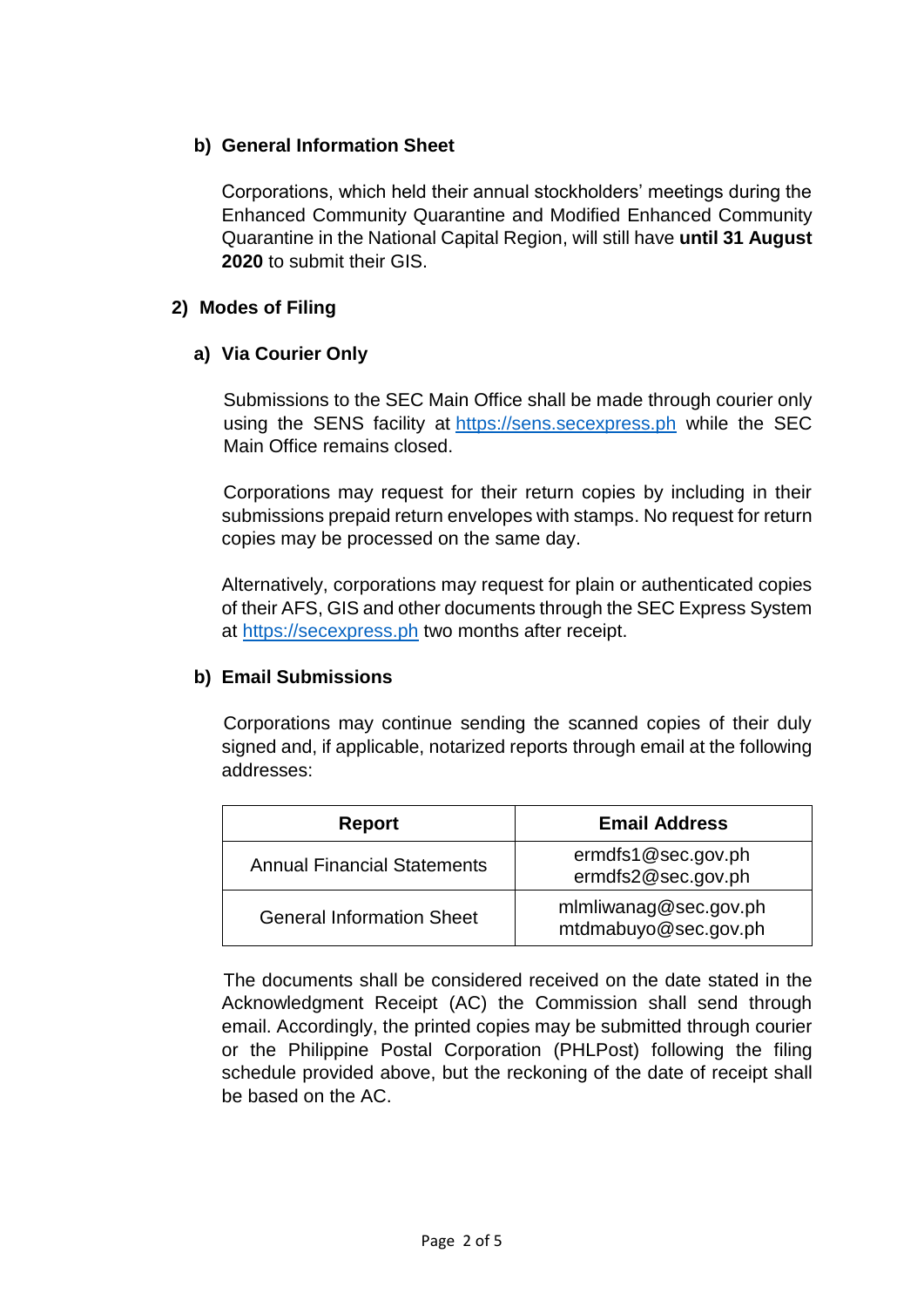# **b) General Information Sheet**

Corporations, which held their annual stockholders' meetings during the Enhanced Community Quarantine and Modified Enhanced Community Quarantine in the National Capital Region, will still have **until 31 August 2020** to submit their GIS.

# **2) Modes of Filing**

# **a) Via Courier Only**

Submissions to the SEC Main Office shall be made through courier only using the SENS facility at [https://sens.secexpress.ph](https://sens.secexpress.ph/) while the SEC Main Office remains closed.

Corporations may request for their return copies by including in their submissions prepaid return envelopes with stamps. No request for return copies may be processed on the same day.

Alternatively, corporations may request for plain or authenticated copies of their AFS, GIS and other documents through the SEC Express System at [https://secexpress.ph](https://secexpress.ph/) two months after receipt.

#### **b) Email Submissions**

Corporations may continue sending the scanned copies of their duly signed and, if applicable, notarized reports through email at the following addresses:

| Report                             | <b>Email Address</b>                          |
|------------------------------------|-----------------------------------------------|
| <b>Annual Financial Statements</b> | ermdfs1@sec.gov.ph<br>ermdfs2@sec.gov.ph      |
| <b>General Information Sheet</b>   | mlmliwanag@sec.gov.ph<br>mtdmabuyo@sec.gov.ph |

The documents shall be considered received on the date stated in the Acknowledgment Receipt (AC) the Commission shall send through email. Accordingly, the printed copies may be submitted through courier or the Philippine Postal Corporation (PHLPost) following the filing schedule provided above, but the reckoning of the date of receipt shall be based on the AC.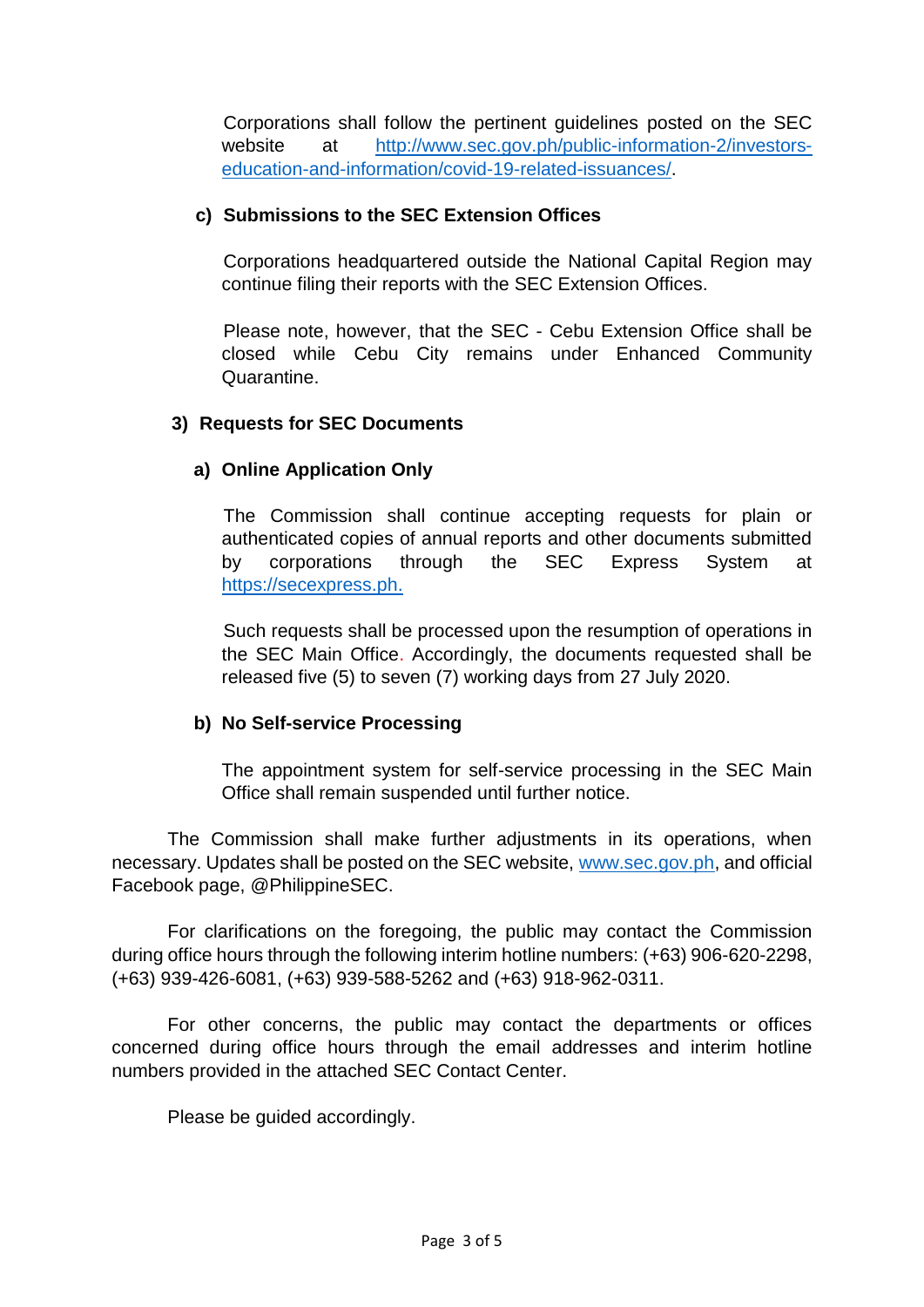Corporations shall follow the pertinent guidelines posted on the SEC website at [http://www.sec.gov.ph/public-information-2/investors](http://www.sec.gov.ph/public-information-2/investors-education-and-information/covid-19-related-issuances/)[education-and-information/covid-19-related-issuances/.](http://www.sec.gov.ph/public-information-2/investors-education-and-information/covid-19-related-issuances/)

#### **c) Submissions to the SEC Extension Offices**

Corporations headquartered outside the National Capital Region may continue filing their reports with the SEC Extension Offices.

Please note, however, that the SEC - Cebu Extension Office shall be closed while Cebu City remains under Enhanced Community **Quarantine** 

# **3) Requests for SEC Documents**

# **a) Online Application Only**

The Commission shall continue accepting requests for plain or authenticated copies of annual reports and other documents submitted by corporations through the SEC Express System at [https://secexpress.ph.](https://secexpress.ph/)

Such requests shall be processed upon the resumption of operations in the SEC Main Office. Accordingly, the documents requested shall be released five (5) to seven (7) working days from 27 July 2020.

#### **b) No Self-service Processing**

The appointment system for self-service processing in the SEC Main Office shall remain suspended until further notice.

The Commission shall make further adjustments in its operations, when necessary. Updates shall be posted on the SEC website, [www.sec.gov.ph,](http://www.sec.gov.ph/) and official Facebook page, @PhilippineSEC.

For clarifications on the foregoing, the public may contact the Commission during office hours through the following interim hotline numbers: (+63) 906-620-2298, (+63) 939-426-6081, (+63) 939-588-5262 and (+63) 918-962-0311.

For other concerns, the public may contact the departments or offices concerned during office hours through the email addresses and interim hotline numbers provided in the attached SEC Contact Center.

Please be guided accordingly.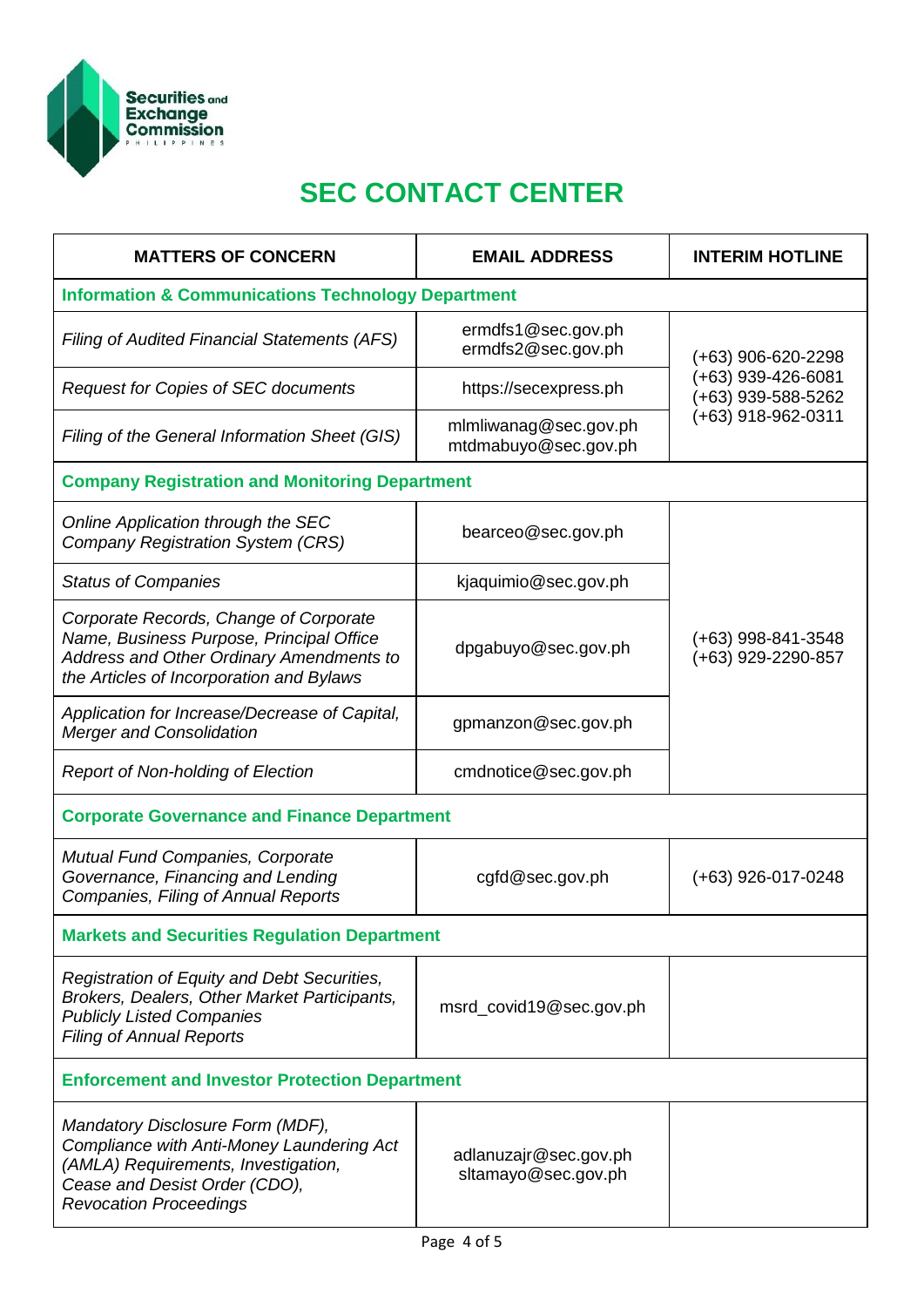

# **SEC CONTACT CENTER**

| <b>MATTERS OF CONCERN</b>                                                                                                                                                              | <b>EMAIL ADDRESS</b>                          | <b>INTERIM HOTLINE</b>                                                                   |  |  |
|----------------------------------------------------------------------------------------------------------------------------------------------------------------------------------------|-----------------------------------------------|------------------------------------------------------------------------------------------|--|--|
| <b>Information &amp; Communications Technology Department</b>                                                                                                                          |                                               |                                                                                          |  |  |
| <b>Filing of Audited Financial Statements (AFS)</b>                                                                                                                                    | ermdfs1@sec.gov.ph<br>ermdfs2@sec.gov.ph      | $(+63)$ 906-620-2298<br>$(+63)$ 939-426-6081<br>(+63) 939-588-5262<br>(+63) 918-962-0311 |  |  |
| <b>Request for Copies of SEC documents</b>                                                                                                                                             | https://secexpress.ph                         |                                                                                          |  |  |
| Filing of the General Information Sheet (GIS)                                                                                                                                          | mlmliwanag@sec.gov.ph<br>mtdmabuyo@sec.gov.ph |                                                                                          |  |  |
| <b>Company Registration and Monitoring Department</b>                                                                                                                                  |                                               |                                                                                          |  |  |
| Online Application through the SEC<br><b>Company Registration System (CRS)</b>                                                                                                         | bearceo@sec.gov.ph                            |                                                                                          |  |  |
| <b>Status of Companies</b>                                                                                                                                                             | kjaquimio@sec.gov.ph                          |                                                                                          |  |  |
| Corporate Records, Change of Corporate<br>Name, Business Purpose, Principal Office<br>Address and Other Ordinary Amendments to<br>the Articles of Incorporation and Bylaws             | dpgabuyo@sec.gov.ph                           | $(+63)$ 998-841-3548<br>(+63) 929-2290-857                                               |  |  |
| Application for Increase/Decrease of Capital,<br><b>Merger and Consolidation</b>                                                                                                       | gpmanzon@sec.gov.ph                           |                                                                                          |  |  |
| <b>Report of Non-holding of Election</b>                                                                                                                                               | cmdnotice@sec.gov.ph                          |                                                                                          |  |  |
| <b>Corporate Governance and Finance Department</b>                                                                                                                                     |                                               |                                                                                          |  |  |
| <b>Mutual Fund Companies, Corporate</b><br>Governance, Financing and Lending<br>Companies, Filing of Annual Reports                                                                    | cgfd@sec.gov.ph                               | $(+63)$ 926-017-0248                                                                     |  |  |
| <b>Markets and Securities Regulation Department</b>                                                                                                                                    |                                               |                                                                                          |  |  |
| Registration of Equity and Debt Securities,<br>Brokers, Dealers, Other Market Participants,<br><b>Publicly Listed Companies</b><br><b>Filing of Annual Reports</b>                     | msrd_covid19@sec.gov.ph                       |                                                                                          |  |  |
| <b>Enforcement and Investor Protection Department</b>                                                                                                                                  |                                               |                                                                                          |  |  |
| Mandatory Disclosure Form (MDF),<br>Compliance with Anti-Money Laundering Act<br>(AMLA) Requirements, Investigation,<br>Cease and Desist Order (CDO),<br><b>Revocation Proceedings</b> | adlanuzajr@sec.gov.ph<br>sltamayo@sec.gov.ph  |                                                                                          |  |  |